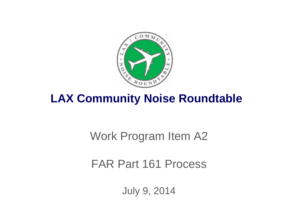

# **LAX Community Noise Roundtable**

# Work Program Item A2

# FAR Part 161 Process

July 9, 2014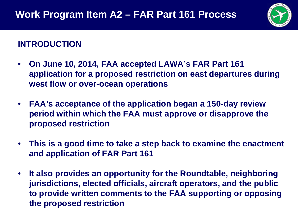

### **INTRODUCTION**

- **On June 10, 2014, FAA accepted LAWA's FAR Part 161 application for a proposed restriction on east departures during west flow or over-ocean operations**
- **FAA's acceptance of the application began a 150-day review period within which the FAA must approve or disapprove the proposed restriction**
- **This is a good time to take a step back to examine the enactment and application of FAR Part 161**
- **It also provides an opportunity for the Roundtable, neighboring jurisdictions, elected officials, aircraft operators, and the public to provide written comments to the FAA supporting or opposing the proposed restriction**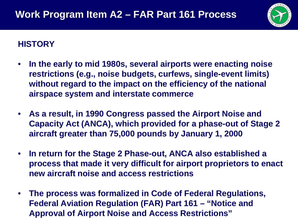

## **HISTORY**

- **In the early to mid 1980s, several airports were enacting noise restrictions (e.g., noise budgets, curfews, single-event limits) without regard to the impact on the efficiency of the national airspace system and interstate commerce**
- **As a result, in 1990 Congress passed the Airport Noise and Capacity Act (ANCA), which provided for a phase-out of Stage 2 aircraft greater than 75,000 pounds by January 1, 2000**
- **In return for the Stage 2 Phase-out, ANCA also established a process that made it very difficult for airport proprietors to enact new aircraft noise and access restrictions**
- **The process was formalized in Code of Federal Regulations, Federal Aviation Regulation (FAR) Part 161 – "Notice and Approval of Airport Noise and Access Restrictions"**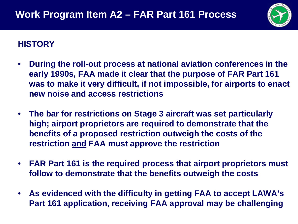

### **HISTORY**

- **During the roll-out process at national aviation conferences in the early 1990s, FAA made it clear that the purpose of FAR Part 161 was to make it very difficult, if not impossible, for airports to enact new noise and access restrictions**
- **The bar for restrictions on Stage 3 aircraft was set particularly high; airport proprietors are required to demonstrate that the benefits of a proposed restriction outweigh the costs of the restriction and FAA must approve the restriction**
- **FAR Part 161 is the required process that airport proprietors must follow to demonstrate that the benefits outweigh the costs**
- **As evidenced with the difficulty in getting FAA to accept LAWA's Part 161 application, receiving FAA approval may be challenging**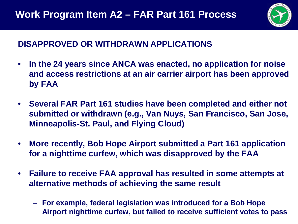

## **DISAPPROVED OR WITHDRAWN APPLICATIONS**

- **In the 24 years since ANCA was enacted, no application for noise and access restrictions at an air carrier airport has been approved by FAA**
- **Several FAR Part 161 studies have been completed and either not submitted or withdrawn (e.g., Van Nuys, San Francisco, San Jose, Minneapolis-St. Paul, and Flying Cloud)**
- **More recently, Bob Hope Airport submitted a Part 161 application for a nighttime curfew, which was disapproved by the FAA**
- **Failure to receive FAA approval has resulted in some attempts at alternative methods of achieving the same result**
	- **For example, federal legislation was introduced for a Bob Hope Airport nighttime curfew, but failed to receive sufficient votes to pass**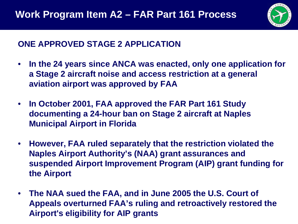

# **ONE APPROVED STAGE 2 APPLICATION**

- **In the 24 years since ANCA was enacted, only one application for a Stage 2 aircraft noise and access restriction at a general aviation airport was approved by FAA**
- **In October 2001, FAA approved the FAR Part 161 Study documenting a 24-hour ban on Stage 2 aircraft at Naples Municipal Airport in Florida**
- **However, FAA ruled separately that the restriction violated the Naples Airport Authority's (NAA) grant assurances and suspended Airport Improvement Program (AIP) grant funding for the Airport**
- **The NAA sued the FAA, and in June 2005 the U.S. Court of Appeals overturned FAA's ruling and retroactively restored the Airport's eligibility for AIP grants**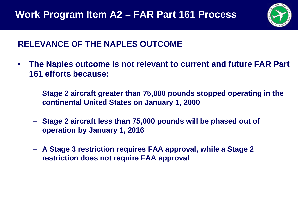

# **RELEVANCE OF THE NAPLES OUTCOME**

- **The Naples outcome is not relevant to current and future FAR Part 161 efforts because:**
	- **Stage 2 aircraft greater than 75,000 pounds stopped operating in the continental United States on January 1, 2000**
	- **Stage 2 aircraft less than 75,000 pounds will be phased out of operation by January 1, 2016**
	- **A Stage 3 restriction requires FAA approval, while a Stage 2 restriction does not require FAA approval**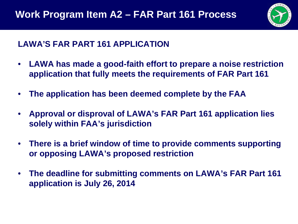

#### **LAWA'S FAR PART 161 APPLICATION**

- **LAWA has made a good-faith effort to prepare a noise restriction application that fully meets the requirements of FAR Part 161**
- **The application has been deemed complete by the FAA**
- **Approval or disproval of LAWA's FAR Part 161 application lies solely within FAA's jurisdiction**
- **There is a brief window of time to provide comments supporting or opposing LAWA's proposed restriction**
- **The deadline for submitting comments on LAWA's FAR Part 161 application is July 26, 2014**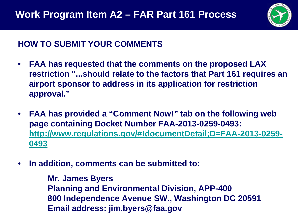

## **HOW TO SUBMIT YOUR COMMENTS**

- **FAA has requested that the comments on the proposed LAX restriction "...should relate to the factors that Part 161 requires an airport sponsor to address in its application for restriction approval."**
- **FAA has provided a "Comment Now!" tab on the following web page containing Docket Number FAA-2013-0259-0493: [http://www.regulations.gov/#!documentDetail;D=FAA-2013-0259-](http://www.regulations.gov/) [0493](http://www.regulations.gov/)**
- **In addition, comments can be submitted to:**

**Mr. James Byers Planning and Environmental Division, APP-400 800 Independence Avenue SW., Washington DC 20591 Email address: jim.byers@faa.gov**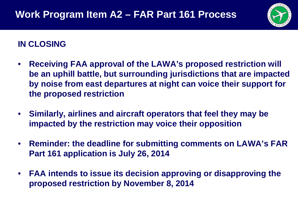

# **IN CLOSING**

- **Receiving FAA approval of the LAWA's proposed restriction will be an uphill battle, but surrounding jurisdictions that are impacted by noise from east departures at night can voice their support for the proposed restriction**
- **Similarly, airlines and aircraft operators that feel they may be impacted by the restriction may voice their opposition**
- **Reminder: the deadline for submitting comments on LAWA's FAR Part 161 application is July 26, 2014**
- **FAA intends to issue its decision approving or disapproving the proposed restriction by November 8, 2014**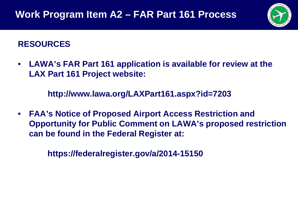

## **RESOURCES**

• **LAWA's FAR Part 161 application is available for review at the LAX Part 161 Project website:**

**http://www.lawa.org/LAXPart161.aspx?id=7203**

• **FAA's Notice of Proposed Airport Access Restriction and Opportunity for Public Comment on LAWA's proposed restriction can be found in the Federal Register at:**

**https://federalregister.gov/a/2014-15150**